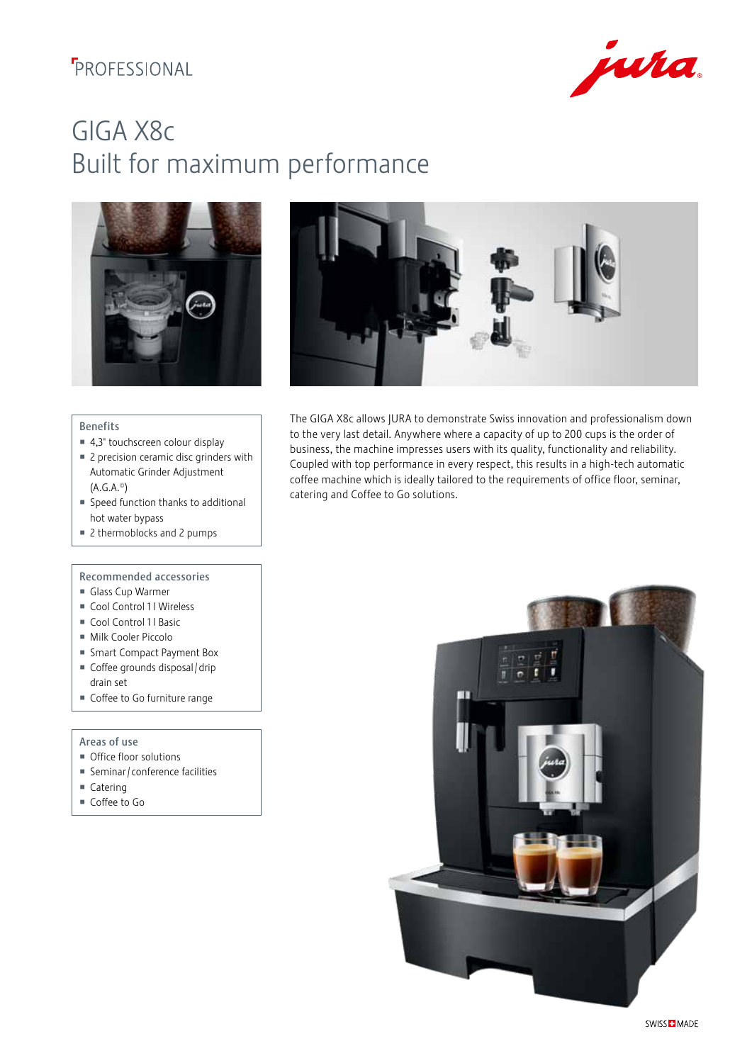## *FROFESSIONAL*



# GIGA X8c Built for maximum performance





#### Benefits

- 4,3" touchscreen colour display
- 2 precision ceramic disc grinders with Automatic Grinder Adjustment (A.G.A.©)
- Speed function thanks to additional hot water bypass
- 2 thermoblocks and 2 pumps

### Recommended accessories

- Glass Cup Warmer
- Cool Control 1 l Wireless
- $\blacksquare$  Cool Control 1 l Basic
- Milk Cooler Piccolo
- Smart Compact Payment Box
- Coffee grounds disposal / drip drain set
- Coffee to Go furniture range

### Areas of use

- Office floor solutions
- Seminar / conference facilities
- Catering
- Coffee to Go

The GIGA X8c allows JURA to demonstrate Swiss innovation and professionalism down to the very last detail. Anywhere where a capacity of up to 200 cups is the order of business, the machine impresses users with its quality, functionality and reliability. Coupled with top performance in every respect, this results in a high-tech automatic coffee machine which is ideally tailored to the requirements of office floor, seminar, catering and Coffee to Go solutions.